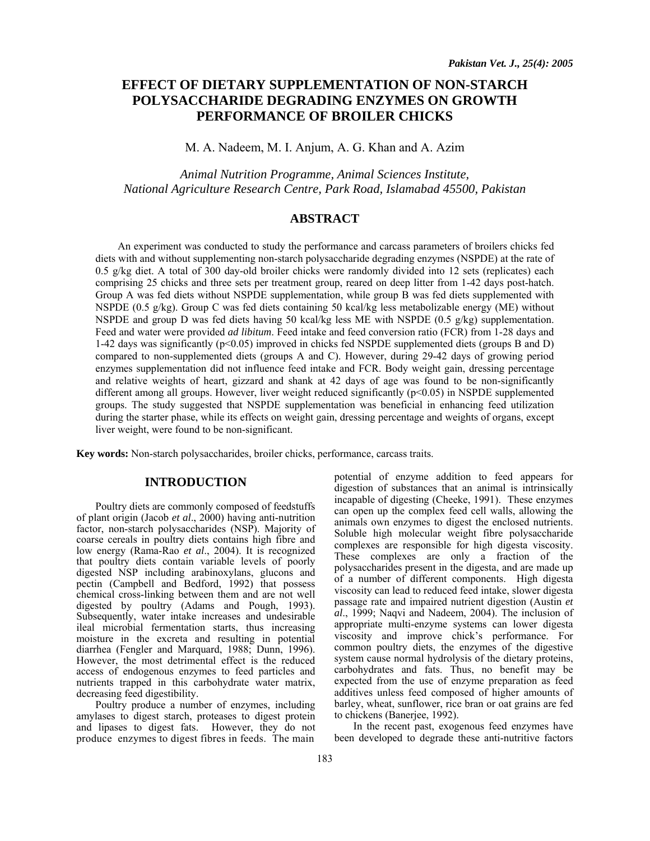# **EFFECT OF DIETARY SUPPLEMENTATION OF NON-STARCH POLYSACCHARIDE DEGRADING ENZYMES ON GROWTH PERFORMANCE OF BROILER CHICKS**

M. A. Nadeem, M. I. Anjum, A. G. Khan and A. Azim

*Animal Nutrition Programme, Animal Sciences Institute, National Agriculture Research Centre, Park Road, Islamabad 45500, Pakistan* 

## **ABSTRACT**

An experiment was conducted to study the performance and carcass parameters of broilers chicks fed diets with and without supplementing non-starch polysaccharide degrading enzymes (NSPDE) at the rate of 0.5 g/kg diet. A total of 300 day-old broiler chicks were randomly divided into 12 sets (replicates) each comprising 25 chicks and three sets per treatment group, reared on deep litter from 1-42 days post-hatch. Group A was fed diets without NSPDE supplementation, while group B was fed diets supplemented with NSPDE (0.5 g/kg). Group C was fed diets containing 50 kcal/kg less metabolizable energy (ME) without NSPDE and group D was fed diets having 50 kcal/kg less ME with NSPDE (0.5 g/kg) supplementation. Feed and water were provided *ad libitum*. Feed intake and feed conversion ratio (FCR) from 1-28 days and 1-42 days was significantly (p<0.05) improved in chicks fed NSPDE supplemented diets (groups B and D) compared to non-supplemented diets (groups A and C). However, during 29-42 days of growing period enzymes supplementation did not influence feed intake and FCR. Body weight gain, dressing percentage and relative weights of heart, gizzard and shank at 42 days of age was found to be non-significantly different among all groups. However, liver weight reduced significantly (p<0.05) in NSPDE supplemented groups. The study suggested that NSPDE supplementation was beneficial in enhancing feed utilization during the starter phase, while its effects on weight gain, dressing percentage and weights of organs, except liver weight, were found to be non-significant.

**Key words:** Non-starch polysaccharides, broiler chicks, performance, carcass traits.

### **INTRODUCTION**

Poultry diets are commonly composed of feedstuffs of plant origin (Jacob *et al*., 2000) having anti-nutrition factor, non-starch polysaccharides (NSP). Majority of coarse cereals in poultry diets contains high fibre and low energy (Rama-Rao *et al*., 2004). It is recognized that poultry diets contain variable levels of poorly digested NSP including arabinoxylans, glucons and pectin (Campbell and Bedford, 1992) that possess chemical cross-linking between them and are not well digested by poultry (Adams and Pough, 1993). Subsequently, water intake increases and undesirable ileal microbial fermentation starts, thus increasing moisture in the excreta and resulting in potential diarrhea (Fengler and Marquard, 1988; Dunn, 1996). However, the most detrimental effect is the reduced access of endogenous enzymes to feed particles and nutrients trapped in this carbohydrate water matrix, decreasing feed digestibility.

Poultry produce a number of enzymes, including amylases to digest starch, proteases to digest protein and lipases to digest fats. However, they do not produce enzymes to digest fibres in feeds. The main

potential of enzyme addition to feed appears for digestion of substances that an animal is intrinsically incapable of digesting (Cheeke, 1991). These enzymes can open up the complex feed cell walls, allowing the animals own enzymes to digest the enclosed nutrients. Soluble high molecular weight fibre polysaccharide complexes are responsible for high digesta viscosity. These complexes are only a fraction of the polysaccharides present in the digesta, and are made up of a number of different components. High digesta viscosity can lead to reduced feed intake, slower digesta passage rate and impaired nutrient digestion (Austin *et al*., 1999; Naqvi and Nadeem, 2004). The inclusion of appropriate multi-enzyme systems can lower digesta viscosity and improve chick's performance. For common poultry diets, the enzymes of the digestive system cause normal hydrolysis of the dietary proteins, carbohydrates and fats. Thus, no benefit may be expected from the use of enzyme preparation as feed additives unless feed composed of higher amounts of barley, wheat, sunflower, rice bran or oat grains are fed to chickens (Banerjee, 1992).

In the recent past, exogenous feed enzymes have been developed to degrade these anti-nutritive factors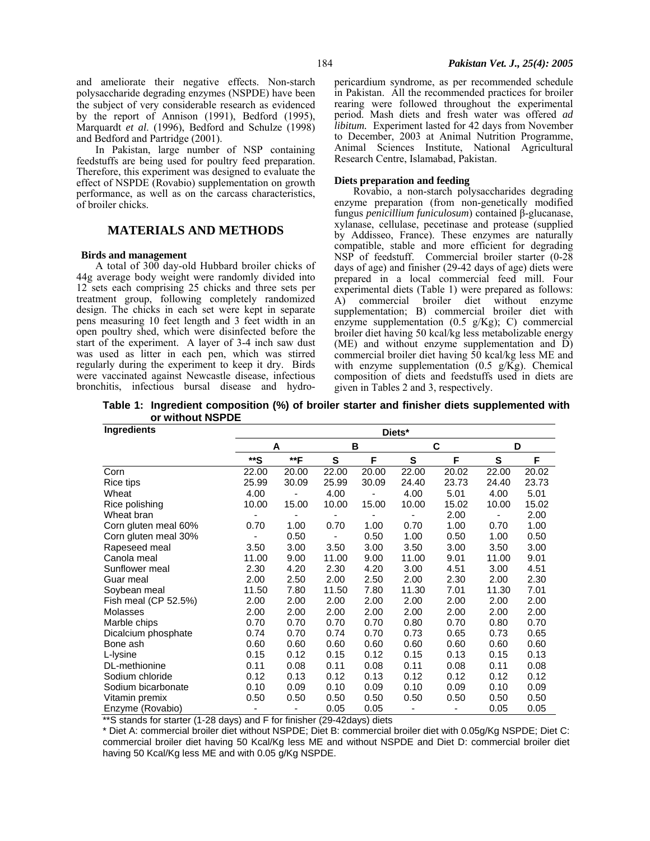and ameliorate their negative effects. Non-starch polysaccharide degrading enzymes (NSPDE) have been the subject of very considerable research as evidenced by the report of Annison (1991), Bedford (1995), Marquardt *et al*. (1996), Bedford and Schulze (1998) and Bedford and Partridge (2001).

In Pakistan, large number of NSP containing feedstuffs are being used for poultry feed preparation. Therefore, this experiment was designed to evaluate the effect of NSPDE (Rovabio) supplementation on growth performance, as well as on the carcass characteristics, of broiler chicks.

## **MATERIALS AND METHODS**

#### **Birds and management**

A total of 300 day-old Hubbard broiler chicks of 44g average body weight were randomly divided into 12 sets each comprising 25 chicks and three sets per treatment group, following completely randomized design. The chicks in each set were kept in separate pens measuring 10 feet length and 3 feet width in an open poultry shed, which were disinfected before the start of the experiment. A layer of 3-4 inch saw dust was used as litter in each pen, which was stirred regularly during the experiment to keep it dry. Birds were vaccinated against Newcastle disease, infectious bronchitis, infectious bursal disease and hydropericardium syndrome, as per recommended schedule in Pakistan. All the recommended practices for broiler rearing were followed throughout the experimental period. Mash diets and fresh water was offered *ad libitum.* Experiment lasted for 42 days from November to December, 2003 at Animal Nutrition Programme, Animal Sciences Institute, National Agricultural Research Centre, Islamabad, Pakistan.

### **Diets preparation and feeding**

Rovabio, a non-starch polysaccharides degrading enzyme preparation (from non-genetically modified fungus *penicillium funiculosum*) contained β-glucanase, xylanase, cellulase, pecetinase and protease (supplied by Addisseo, France). These enzymes are naturally compatible, stable and more efficient for degrading NSP of feedstuff. Commercial broiler starter (0-28 days of age) and finisher (29-42 days of age) diets were prepared in a local commercial feed mill. Four experimental diets (Table 1) were prepared as follows: A) commercial broiler diet without enzyme supplementation; B) commercial broiler diet with enzyme supplementation (0.5 g/Kg); C) commercial broiler diet having 50 kcal/kg less metabolizable energy (ME) and without enzyme supplementation and D) commercial broiler diet having 50 kcal/kg less ME and with enzyme supplementation  $(0.5 \text{ g/Kg})$ . Chemical composition of diets and feedstuffs used in diets are given in Tables 2 and 3, respectively.

**Table 1: Ingredient composition (%) of broiler starter and finisher diets supplemented with or without NSPDE** 

| Ingredients          | Diets* |       |       |       |       |       |        |       |
|----------------------|--------|-------|-------|-------|-------|-------|--------|-------|
|                      |        | A     |       | В     |       |       | C<br>D |       |
|                      | **S    | **F   | S     | F     | S     | F     | S      | F     |
| Corn                 | 22.00  | 20.00 | 22.00 | 20.00 | 22.00 | 20.02 | 22.00  | 20.02 |
| Rice tips            | 25.99  | 30.09 | 25.99 | 30.09 | 24.40 | 23.73 | 24.40  | 23.73 |
| Wheat                | 4.00   |       | 4.00  |       | 4.00  | 5.01  | 4.00   | 5.01  |
| Rice polishing       | 10.00  | 15.00 | 10.00 | 15.00 | 10.00 | 15.02 | 10.00  | 15.02 |
| Wheat bran           |        |       |       |       |       | 2.00  |        | 2.00  |
| Corn gluten meal 60% | 0.70   | 1.00  | 0.70  | 1.00  | 0.70  | 1.00  | 0.70   | 1.00  |
| Corn gluten meal 30% |        | 0.50  |       | 0.50  | 1.00  | 0.50  | 1.00   | 0.50  |
| Rapeseed meal        | 3.50   | 3.00  | 3.50  | 3.00  | 3.50  | 3.00  | 3.50   | 3.00  |
| Canola meal          | 11.00  | 9.00  | 11.00 | 9.00  | 11.00 | 9.01  | 11.00  | 9.01  |
| Sunflower meal       | 2.30   | 4.20  | 2.30  | 4.20  | 3.00  | 4.51  | 3.00   | 4.51  |
| Guar meal            | 2.00   | 2.50  | 2.00  | 2.50  | 2.00  | 2.30  | 2.00   | 2.30  |
| Soybean meal         | 11.50  | 7.80  | 11.50 | 7.80  | 11.30 | 7.01  | 11.30  | 7.01  |
| Fish meal (CP 52.5%) | 2.00   | 2.00  | 2.00  | 2.00  | 2.00  | 2.00  | 2.00   | 2.00  |
| Molasses             | 2.00   | 2.00  | 2.00  | 2.00  | 2.00  | 2.00  | 2.00   | 2.00  |
| Marble chips         | 0.70   | 0.70  | 0.70  | 0.70  | 0.80  | 0.70  | 0.80   | 0.70  |
| Dicalcium phosphate  | 0.74   | 0.70  | 0.74  | 0.70  | 0.73  | 0.65  | 0.73   | 0.65  |
| Bone ash             | 0.60   | 0.60  | 0.60  | 0.60  | 0.60  | 0.60  | 0.60   | 0.60  |
| L-lysine             | 0.15   | 0.12  | 0.15  | 0.12  | 0.15  | 0.13  | 0.15   | 0.13  |
| DL-methionine        | 0.11   | 0.08  | 0.11  | 0.08  | 0.11  | 0.08  | 0.11   | 0.08  |
| Sodium chloride      | 0.12   | 0.13  | 0.12  | 0.13  | 0.12  | 0.12  | 0.12   | 0.12  |
| Sodium bicarbonate   | 0.10   | 0.09  | 0.10  | 0.09  | 0.10  | 0.09  | 0.10   | 0.09  |
| Vitamin premix       | 0.50   | 0.50  | 0.50  | 0.50  | 0.50  | 0.50  | 0.50   | 0.50  |
| Enzyme (Rovabio)     |        |       | 0.05  | 0.05  |       |       | 0.05   | 0.05  |

\*\*S stands for starter (1-28 days) and F for finisher (29-42days) diets

\* Diet A: commercial broiler diet without NSPDE; Diet B: commercial broiler diet with 0.05g/Kg NSPDE; Diet C: commercial broiler diet having 50 Kcal/Kg less ME and without NSPDE and Diet D: commercial broiler diet having 50 Kcal/Kg less ME and with 0.05 g/Kg NSPDE.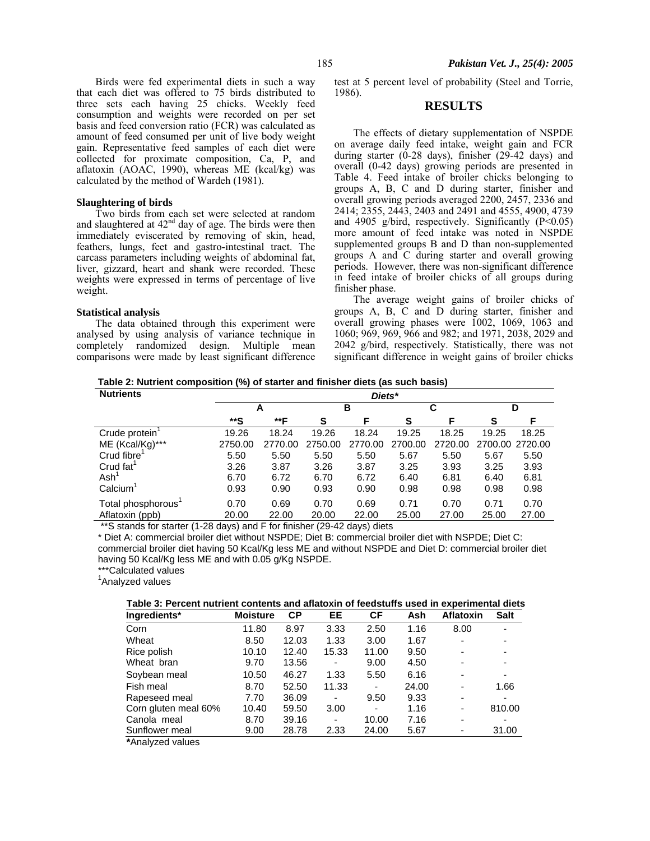Birds were fed experimental diets in such a way that each diet was offered to 75 birds distributed to three sets each having 25 chicks. Weekly feed consumption and weights were recorded on per set basis and feed conversion ratio (FCR) was calculated as amount of feed consumed per unit of live body weight gain. Representative feed samples of each diet were collected for proximate composition, Ca, P, and aflatoxin (AOAC, 1990), whereas ME (kcal/kg) was calculated by the method of Wardeh (1981).

#### **Slaughtering of birds**

Two birds from each set were selected at random and slaughtered at  $42<sup>nd</sup>$  day of age. The birds were then immediately eviscerated by removing of skin, head, feathers, lungs, feet and gastro-intestinal tract. The carcass parameters including weights of abdominal fat, liver, gizzard, heart and shank were recorded. These weights were expressed in terms of percentage of live weight.

#### **Statistical analysis**

The data obtained through this experiment were analysed by using analysis of variance technique in completely randomized design. Multiple mean comparisons were made by least significant difference

test at 5 percent level of probability (Steel and Torrie, 1986).

# **RESULTS**

The effects of dietary supplementation of NSPDE on average daily feed intake, weight gain and FCR during starter (0-28 days), finisher (29-42 days) and overall (0-42 days) growing periods are presented in Table 4. Feed intake of broiler chicks belonging to groups A, B, C and D during starter, finisher and overall growing periods averaged 2200, 2457, 2336 and 2414; 2355, 2443, 2403 and 2491 and 4555, 4900, 4739 and 4905 g/bird, respectively. Significantly  $(P<0.05)$ more amount of feed intake was noted in NSPDE supplemented groups B and D than non-supplemented groups A and C during starter and overall growing periods. However, there was non-significant difference in feed intake of broiler chicks of all groups during finisher phase.

The average weight gains of broiler chicks of groups A, B, C and D during starter, finisher and overall growing phases were 1002, 1069, 1063 and 1060; 969, 969, 966 and 982; and 1971, 2038, 2029 and 2042 g/bird, respectively. Statistically, there was not significant difference in weight gains of broiler chicks

**Table 2: Nutrient composition (%) of starter and finisher diets (as such basis)**

| <b>Nutrients</b>           |         | Diets*  |         |         |         |         |       |                 |  |
|----------------------------|---------|---------|---------|---------|---------|---------|-------|-----------------|--|
|                            |         | A       |         | в       |         | С       |       | D               |  |
|                            | **S     | **F     | S       | F       | S       | F       | S     | F               |  |
| Crude protein <sup>1</sup> | 19.26   | 18.24   | 19.26   | 18.24   | 19.25   | 18.25   | 19.25 | 18.25           |  |
| ME (Kcal/Kg)***            | 2750.00 | 2770.00 | 2750.00 | 2770.00 | 2700.00 | 2720.00 |       | 2700.00 2720.00 |  |
| Crud fibre                 | 5.50    | 5.50    | 5.50    | 5.50    | 5.67    | 5.50    | 5.67  | 5.50            |  |
| Crud fat <sup>1</sup>      | 3.26    | 3.87    | 3.26    | 3.87    | 3.25    | 3.93    | 3.25  | 3.93            |  |
| Ash'                       | 6.70    | 6.72    | 6.70    | 6.72    | 6.40    | 6.81    | 6.40  | 6.81            |  |
| Calcium <sup>1</sup>       | 0.93    | 0.90    | 0.93    | 0.90    | 0.98    | 0.98    | 0.98  | 0.98            |  |
| Total phosphorous'         | 0.70    | 0.69    | 0.70    | 0.69    | 0.71    | 0.70    | 0.71  | 0.70            |  |
| Aflatoxin (ppb)            | 20.00   | 22.00   | 20.00   | 22.00   | 25.00   | 27.00   | 25.00 | 27.00           |  |

\*\*S stands for starter (1-28 days) and F for finisher (29-42 days) diets

\* Diet A: commercial broiler diet without NSPDE; Diet B: commercial broiler diet with NSPDE; Diet C: commercial broiler diet having 50 Kcal/Kg less ME and without NSPDE and Diet D: commercial broiler diet having 50 Kcal/Kg less ME and with 0.05 g/Kg NSPDE.

\*\*\*Calculated values

<sup>1</sup>Analyzed values

| Table 3: Percent nutrient contents and aflatoxin of feedstuffs used in experimental diets |  |
|-------------------------------------------------------------------------------------------|--|
|                                                                                           |  |

| Ingredients*         | <b>Moisture</b> | <b>CP</b> | EE    | СF    | Ash   | <b>Aflatoxin</b>         | <b>Salt</b> |
|----------------------|-----------------|-----------|-------|-------|-------|--------------------------|-------------|
| Corn                 | 11.80           | 8.97      | 3.33  | 2.50  | 1.16  | 8.00                     | ۰.          |
| Wheat                | 8.50            | 12.03     | 1.33  | 3.00  | 1.67  |                          |             |
| Rice polish          | 10.10           | 12.40     | 15.33 | 11.00 | 9.50  | ۰                        | ۰.          |
| Wheat bran           | 9.70            | 13.56     | -     | 9.00  | 4.50  | $\overline{\phantom{0}}$ |             |
| Soybean meal         | 10.50           | 46.27     | 1.33  | 5.50  | 6.16  | -                        | -           |
| Fish meal            | 8.70            | 52.50     | 11.33 | -     | 24.00 | ۰                        | 1.66        |
| Rapeseed meal        | 7.70            | 36.09     | ٠     | 9.50  | 9.33  | ۰                        |             |
| Corn gluten meal 60% | 10.40           | 59.50     | 3.00  | -     | 1.16  | -                        | 810.00      |
| Canola meal          | 8.70            | 39.16     | ۰     | 10.00 | 7.16  | $\blacksquare$           |             |
| Sunflower meal       | 9.00            | 28.78     | 2.33  | 24.00 | 5.67  |                          | 31.00       |
|                      |                 |           |       |       |       |                          |             |

**\***Analyzed values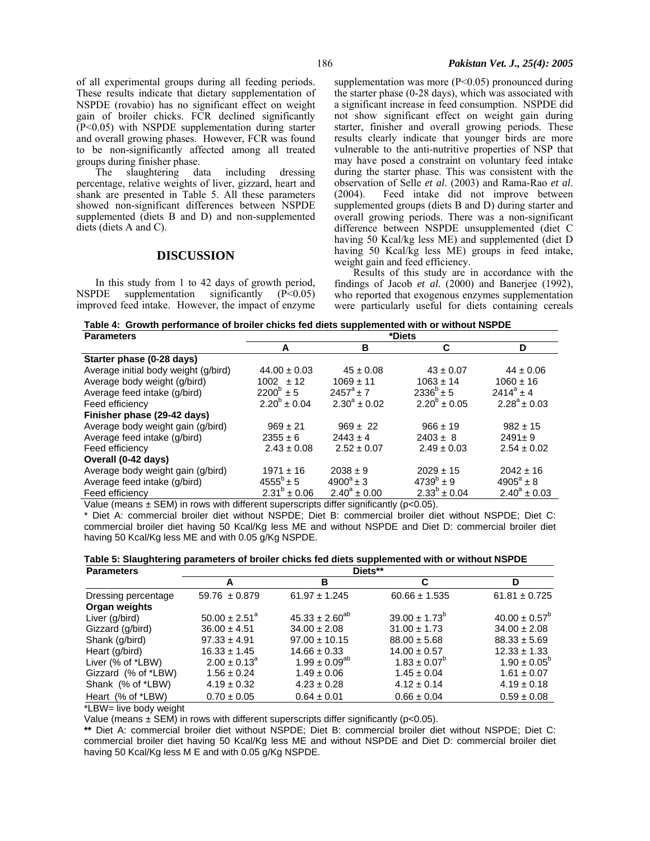of all experimental groups during all feeding periods. These results indicate that dietary supplementation of NSPDE (rovabio) has no significant effect on weight gain of broiler chicks. FCR declined significantly (P<0.05) with NSPDE supplementation during starter and overall growing phases. However, FCR was found to be non-significantly affected among all treated groups during finisher phase.

The slaughtering data including dressing percentage, relative weights of liver, gizzard, heart and shank are presented in Table 5. All these parameters showed non-significant differences between NSPDE supplemented (diets B and D) and non-supplemented diets (diets A and C).

### **DISCUSSION**

In this study from 1 to 42 days of growth period, NSPDE supplementation significantly (P<0.05) improved feed intake. However, the impact of enzyme supplementation was more (P<0.05) pronounced during the starter phase (0-28 days), which was associated with a significant increase in feed consumption. NSPDE did not show significant effect on weight gain during starter, finisher and overall growing periods. These results clearly indicate that younger birds are more vulnerable to the anti-nutritive properties of NSP that may have posed a constraint on voluntary feed intake during the starter phase. This was consistent with the observation of Selle *et al*. (2003) and Rama-Rao *et al*. (2004). Feed intake did not improve between supplemented groups (diets B and D) during starter and overall growing periods. There was a non-significant difference between NSPDE unsupplemented (diet C having 50 Kcal/kg less ME) and supplemented (diet D having 50 Kcal/kg less ME) groups in feed intake, weight gain and feed efficiency.

Results of this study are in accordance with the findings of Jacob *et al*. (2000) and Banerjee (1992), who reported that exogenous enzymes supplementation were particularly useful for diets containing cereals

**Table 4: Growth performance of broiler chicks fed diets supplemented with or without NSPDE** 

| <b>Parameters</b>                    | *Diets            |                    |                         |                    |  |  |  |
|--------------------------------------|-------------------|--------------------|-------------------------|--------------------|--|--|--|
|                                      | A                 | В                  | C                       | D                  |  |  |  |
| Starter phase (0-28 days)            |                   |                    |                         |                    |  |  |  |
| Average initial body weight (g/bird) | $44.00 \pm 0.03$  | $45 \pm 0.08$      | $43 \pm 0.07$           | $44 \pm 0.06$      |  |  |  |
| Average body weight (g/bird)         | $1002 \pm 12$     | $1069 \pm 11$      | $1063 \pm 14$           | $1060 \pm 16$      |  |  |  |
| Average feed intake (g/bird)         | $2200^b \pm 5$    | $2457^{\circ}$ + 7 | $2336^b \pm 5$          | $2414^a \pm 4$     |  |  |  |
| Feed efficiency                      | $2.20^b \pm 0.04$ | $2.30^a \pm 0.02$  | $2.20^{\circ} \pm 0.05$ | $2.28^a \pm 0.03$  |  |  |  |
| Finisher phase (29-42 days)          |                   |                    |                         |                    |  |  |  |
| Average body weight gain (g/bird)    | $969 \pm 21$      | $969 \pm 22$       | $966 \pm 19$            | $982 \pm 15$       |  |  |  |
| Average feed intake (g/bird)         | $2355 \pm 6$      | $2443 \pm 4$       | $2403 \pm 8$            | $2491 \pm 9$       |  |  |  |
| Feed efficiency                      | $2.43 \pm 0.08$   | $2.52 \pm 0.07$    | $2.49 \pm 0.03$         | $2.54 \pm 0.02$    |  |  |  |
| Overall (0-42 days)                  |                   |                    |                         |                    |  |  |  |
| Average body weight gain (g/bird)    | $1971 \pm 16$     | $2038 \pm 9$       | $2029 \pm 15$           | $2042 \pm 16$      |  |  |  |
| Average feed intake (g/bird)         | $4555^b \pm 5$    | $4900^a \pm 3$     | $4739^{b} \pm 9$        | $4905^{\circ}$ ± 8 |  |  |  |
| Feed efficiency                      | $2.31^b \pm 0.06$ | $2.40^a \pm 0.00$  | $2.33^{b} \pm 0.04$     | $2.40^a \pm 0.03$  |  |  |  |

Value (means  $\pm$  SEM) in rows with different superscripts differ significantly ( $p$ <0.05).

\* Diet A: commercial broiler diet without NSPDE; Diet B: commercial broiler diet without NSPDE; Diet C: commercial broiler diet having 50 Kcal/Kg less ME and without NSPDE and Diet D: commercial broiler diet having 50 Kcal/Kg less ME and with 0.05 g/Kg NSPDE.

**Table 5: Slaughtering parameters of broiler chicks fed diets supplemented with or without NSPDE**

| <b>Parameters</b>                    | Diets**                  |                       |                          |                         |  |  |  |
|--------------------------------------|--------------------------|-----------------------|--------------------------|-------------------------|--|--|--|
|                                      | А                        | в                     | C                        | ח                       |  |  |  |
| Dressing percentage<br>Organ weights | $59.76 \pm 0.879$        | $61.97 \pm 1.245$     | $60.66 \pm 1.535$        | $61.81 \pm 0.725$       |  |  |  |
| Liver (g/bird)                       | $50.00 \pm 2.51^{\circ}$ | $45.33 \pm 2.60^{ab}$ | $39.00 \pm 1.73^{\circ}$ | $40.00 \pm 0.57^b$      |  |  |  |
| Gizzard (g/bird)                     | $36.00 \pm 4.51$         | $34.00 \pm 2.08$      | $31.00 \pm 1.73$         | $34.00 \pm 2.08$        |  |  |  |
| Shank (g/bird)                       | $97.33 \pm 4.91$         | $97.00 \pm 10.15$     | $88.00 \pm 5.68$         | $88.33 \pm 5.69$        |  |  |  |
| Heart (g/bird)                       | $16.33 \pm 1.45$         | $14.66 \pm 0.33$      | $14.00 \pm 0.57$         | $12.33 \pm 1.33$        |  |  |  |
| Liver (% of *LBW)                    | $2.00 \pm 0.13^{\circ}$  | $1.99 \pm 0.09^{ab}$  | $1.83 \pm 0.07^{\circ}$  | $1.90 \pm 0.05^{\circ}$ |  |  |  |
| Gizzard (% of *LBW)                  | $1.56 \pm 0.24$          | $1.49 \pm 0.06$       | $1.45 \pm 0.04$          | $1.61 \pm 0.07$         |  |  |  |
| Shank (% of *LBW)                    | $4.19 \pm 0.32$          | $4.23 \pm 0.28$       | $4.12 \pm 0.14$          | $4.19 \pm 0.18$         |  |  |  |
| Heart (% of *LBW)                    | $0.70 \pm 0.05$          | $0.64 \pm 0.01$       | $0.66 \pm 0.04$          | $0.59 \pm 0.08$         |  |  |  |

\*LBW= live body weight

Value (means  $\pm$  SEM) in rows with different superscripts differ significantly (p<0.05).

**\*\*** Diet A: commercial broiler diet without NSPDE; Diet B: commercial broiler diet without NSPDE; Diet C: commercial broiler diet having 50 Kcal/Kg less ME and without NSPDE and Diet D: commercial broiler diet having 50 Kcal/Kg less M E and with 0.05 g/Kg NSPDE.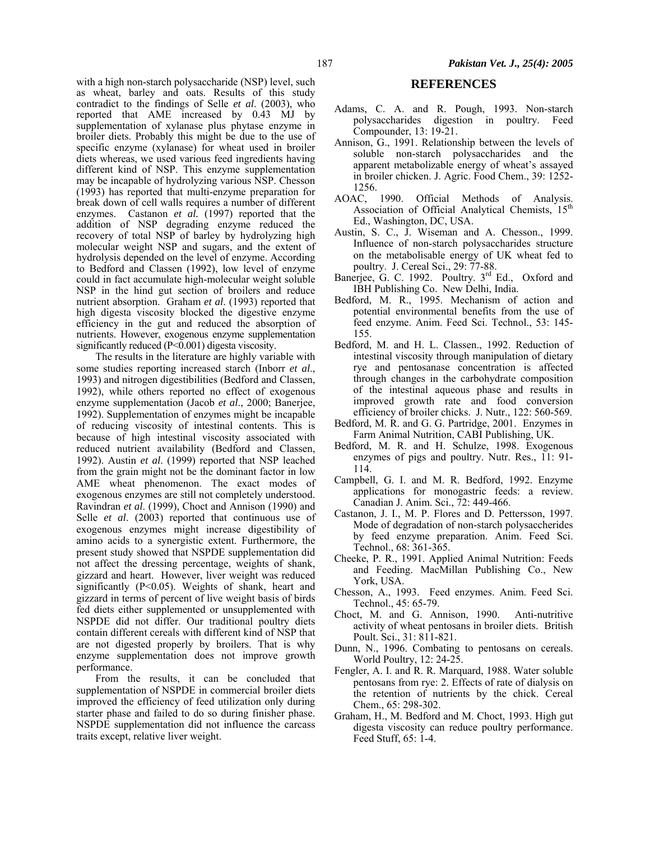with a high non-starch polysaccharide (NSP) level, such as wheat, barley and oats. Results of this study contradict to the findings of Selle *et al*. (2003), who reported that AME increased by 0.43 MJ by supplementation of xylanase plus phytase enzyme in broiler diets. Probably this might be due to the use of specific enzyme (xylanase) for wheat used in broiler diets whereas, we used various feed ingredients having different kind of NSP. This enzyme supplementation may be incapable of hydrolyzing various NSP. Chesson (1993) has reported that multi-enzyme preparation for break down of cell walls requires a number of different enzymes. Castanon *et al.* (1997) reported that the addition of NSP degrading enzyme reduced the recovery of total NSP of barley by hydrolyzing high molecular weight NSP and sugars, and the extent of hydrolysis depended on the level of enzyme. According to Bedford and Classen (1992), low level of enzyme could in fact accumulate high-molecular weight soluble NSP in the hind gut section of broilers and reduce nutrient absorption. Graham *et al*. (1993) reported that high digesta viscosity blocked the digestive enzyme efficiency in the gut and reduced the absorption of nutrients. However, exogenous enzyme supplementation significantly reduced  $(P<0.001)$  digesta viscosity.

The results in the literature are highly variable with some studies reporting increased starch (Inborr *et al*., 1993) and nitrogen digestibilities (Bedford and Classen, 1992), while others reported no effect of exogenous enzyme supplementation (Jacob *et al*., 2000; Banerjee, 1992). Supplementation of enzymes might be incapable of reducing viscosity of intestinal contents. This is because of high intestinal viscosity associated with reduced nutrient availability (Bedford and Classen, 1992). Austin *et al*. (1999) reported that NSP leached from the grain might not be the dominant factor in low AME wheat phenomenon. The exact modes of exogenous enzymes are still not completely understood. Ravindran *et al*. (1999), Choct and Annison (1990) and Selle *et al*. (2003) reported that continuous use of exogenous enzymes might increase digestibility of amino acids to a synergistic extent. Furthermore, the present study showed that NSPDE supplementation did not affect the dressing percentage, weights of shank, gizzard and heart. However, liver weight was reduced significantly (P<0.05). Weights of shank, heart and gizzard in terms of percent of live weight basis of birds fed diets either supplemented or unsupplemented with NSPDE did not differ. Our traditional poultry diets contain different cereals with different kind of NSP that are not digested properly by broilers. That is why enzyme supplementation does not improve growth performance.

From the results, it can be concluded that supplementation of NSPDE in commercial broiler diets improved the efficiency of feed utilization only during starter phase and failed to do so during finisher phase. NSPDE supplementation did not influence the carcass traits except, relative liver weight.

### **REFERENCES**

- Adams, C. A. and R. Pough, 1993. Non-starch polysaccharides digestion in poultry. Feed Compounder, 13: 19-21.
- Annison, G., 1991. Relationship between the levels of soluble non-starch polysaccharides and the apparent metabolizable energy of wheat's assayed in broiler chicken. J. Agric. Food Chem., 39: 1252- 1256.
- AOAC, 1990. Official Methods of Analysis. Association of Official Analytical Chemists, 15<sup>th</sup> Ed., Washington, DC, USA.
- Austin, S. C., J. Wiseman and A. Chesson., 1999. Influence of non-starch polysaccharides structure on the metabolisable energy of UK wheat fed to poultry. J. Cereal Sci., 29: 77-88.
- Banerjee, G. C. 1992. Poultry. 3<sup>rd</sup> Ed., Oxford and IBH Publishing Co. New Delhi, India.
- Bedford, M. R., 1995. Mechanism of action and potential environmental benefits from the use of feed enzyme. Anim. Feed Sci. Technol., 53: 145- 155.
- Bedford, M. and H. L. Classen., 1992. Reduction of intestinal viscosity through manipulation of dietary rye and pentosanase concentration is affected through changes in the carbohydrate composition of the intestinal aqueous phase and results in improved growth rate and food conversion efficiency of broiler chicks. J. Nutr., 122: 560-569.
- Bedford, M. R. and G. G. Partridge, 2001. Enzymes in Farm Animal Nutrition, CABI Publishing, UK.
- Bedford, M. R. and H. Schulze, 1998. Exogenous enzymes of pigs and poultry. Nutr. Res., 11: 91- 114.
- Campbell, G. I. and M. R. Bedford, 1992. Enzyme applications for monogastric feeds: a review. Canadian J. Anim. Sci., 72: 449-466.
- Castanon, J. I., M. P. Flores and D. Pettersson, 1997. Mode of degradation of non-starch polysaccherides by feed enzyme preparation. Anim. Feed Sci. Technol., 68: 361-365.
- Cheeke, P. R., 1991. Applied Animal Nutrition: Feeds and Feeding. MacMillan Publishing Co., New York, USA.
- Chesson, A., 1993. Feed enzymes. Anim. Feed Sci. Technol., 45: 65-79.
- Choct, M. and G. Annison, 1990. Anti-nutritive activity of wheat pentosans in broiler diets. British Poult. Sci., 31: 811-821.
- Dunn, N., 1996. Combating to pentosans on cereals. World Poultry, 12: 24-25.
- Fengler, A. I. and R. R. Marquard, 1988. Water soluble pentosans from rye: 2. Effects of rate of dialysis on the retention of nutrients by the chick. Cereal Chem., 65: 298-302.
- Graham, H., M. Bedford and M. Choct, 1993. High gut digesta viscosity can reduce poultry performance. Feed Stuff, 65: 1-4.